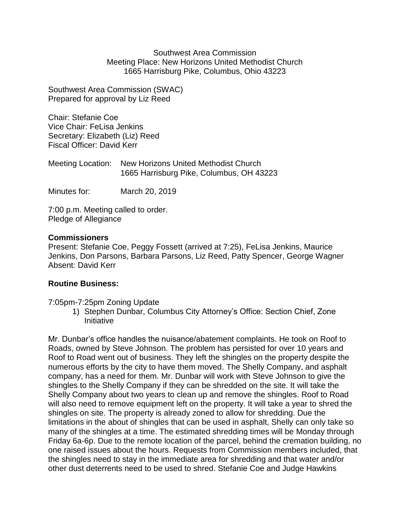Southwest Area Commission Meeting Place: New Horizons United Methodist Church 1665 Harrisburg Pike, Columbus, Ohio 43223

Southwest Area Commission (SWAC) Prepared for approval by Liz Reed

Chair: Stefanie Coe Vice Chair: FeLisa Jenkins Secretary: Elizabeth (Liz) Reed Fiscal Officer: David Kerr

Meeting Location: New Horizons United Methodist Church 1665 Harrisburg Pike, Columbus, OH 43223

Minutes for: March 20, 2019

7:00 p.m. Meeting called to order. Pledge of Allegiance

#### **Commissioners**

Present: Stefanie Coe, Peggy Fossett (arrived at 7:25), FeLisa Jenkins, Maurice Jenkins, Don Parsons, Barbara Parsons, Liz Reed, Patty Spencer, George Wagner Absent: David Kerr

# **Routine Business:**

#### 7:05pm-7:25pm Zoning Update

1) Stephen Dunbar, Columbus City Attorney's Office: Section Chief, Zone **Initiative** 

Mr. Dunbar's office handles the nuisance/abatement complaints. He took on Roof to Roads, owned by Steve Johnson. The problem has persisted for over 10 years and Roof to Road went out of business. They left the shingles on the property despite the numerous efforts by the city to have them moved. The Shelly Company, and asphalt company, has a need for them. Mr. Dunbar will work with Steve Johnson to give the shingles to the Shelly Company if they can be shredded on the site. It will take the Shelly Company about two years to clean up and remove the shingles. Roof to Road will also need to remove equipment left on the property. It will take a year to shred the shingles on site. The property is already zoned to allow for shredding. Due the limitations in the about of shingles that can be used in asphalt, Shelly can only take so many of the shingles at a time. The estimated shredding times will be Monday through Friday 6a-6p. Due to the remote location of the parcel, behind the cremation building, no one raised issues about the hours. Requests from Commission members included, that the shingles need to stay in the immediate area for shredding and that water and/or other dust deterrents need to be used to shred. Stefanie Coe and Judge Hawkins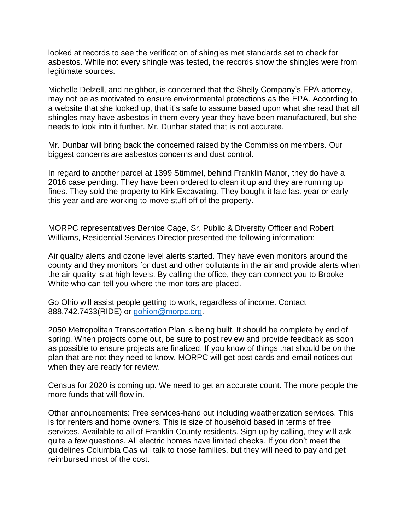looked at records to see the verification of shingles met standards set to check for asbestos. While not every shingle was tested, the records show the shingles were from legitimate sources.

Michelle Delzell, and neighbor, is concerned that the Shelly Company's EPA attorney, may not be as motivated to ensure environmental protections as the EPA. According to a website that she looked up, that it's safe to assume based upon what she read that all shingles may have asbestos in them every year they have been manufactured, but she needs to look into it further. Mr. Dunbar stated that is not accurate.

Mr. Dunbar will bring back the concerned raised by the Commission members. Our biggest concerns are asbestos concerns and dust control.

In regard to another parcel at 1399 Stimmel, behind Franklin Manor, they do have a 2016 case pending. They have been ordered to clean it up and they are running up fines. They sold the property to Kirk Excavating. They bought it late last year or early this year and are working to move stuff off of the property.

MORPC representatives Bernice Cage, Sr. Public & Diversity Officer and Robert Williams, Residential Services Director presented the following information:

Air quality alerts and ozone level alerts started. They have even monitors around the county and they monitors for dust and other pollutants in the air and provide alerts when the air quality is at high levels. By calling the office, they can connect you to Brooke White who can tell you where the monitors are placed.

Go Ohio will assist people getting to work, regardless of income. Contact 888.742.7433(RIDE) or [gohion@morpc.org.](mailto:gohion@morpc.org)

2050 Metropolitan Transportation Plan is being built. It should be complete by end of spring. When projects come out, be sure to post review and provide feedback as soon as possible to ensure projects are finalized. If you know of things that should be on the plan that are not they need to know. MORPC will get post cards and email notices out when they are ready for review.

Census for 2020 is coming up. We need to get an accurate count. The more people the more funds that will flow in.

Other announcements: Free services-hand out including weatherization services. This is for renters and home owners. This is size of household based in terms of free services. Available to all of Franklin County residents. Sign up by calling, they will ask quite a few questions. All electric homes have limited checks. If you don't meet the guidelines Columbia Gas will talk to those families, but they will need to pay and get reimbursed most of the cost.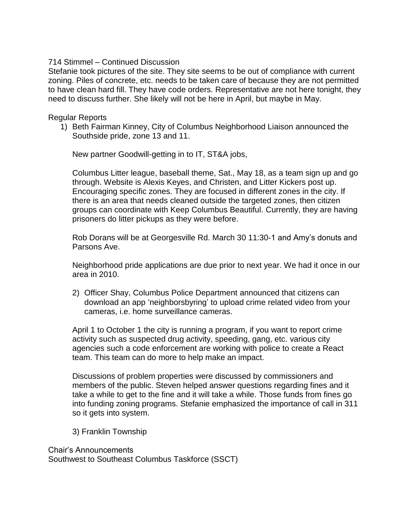## 714 Stimmel – Continued Discussion

Stefanie took pictures of the site. They site seems to be out of compliance with current zoning. Piles of concrete, etc. needs to be taken care of because they are not permitted to have clean hard fill. They have code orders. Representative are not here tonight, they need to discuss further. She likely will not be here in April, but maybe in May.

### Regular Reports

1) Beth Fairman Kinney, City of Columbus Neighborhood Liaison announced the Southside pride, zone 13 and 11.

New partner Goodwill-getting in to IT, ST&A jobs,

Columbus Litter league, baseball theme, Sat., May 18, as a team sign up and go through. Website is Alexis Keyes, and Christen, and Litter Kickers post up. Encouraging specific zones. They are focused in different zones in the city. If there is an area that needs cleaned outside the targeted zones, then citizen groups can coordinate with Keep Columbus Beautiful. Currently, they are having prisoners do litter pickups as they were before.

Rob Dorans will be at Georgesville Rd. March 30 11:30-1 and Amy's donuts and Parsons Ave.

Neighborhood pride applications are due prior to next year. We had it once in our area in 2010.

2) Officer Shay, Columbus Police Department announced that citizens can download an app 'neighborsbyring' to upload crime related video from your cameras, i.e. home surveillance cameras.

April 1 to October 1 the city is running a program, if you want to report crime activity such as suspected drug activity, speeding, gang, etc. various city agencies such a code enforcement are working with police to create a React team. This team can do more to help make an impact.

Discussions of problem properties were discussed by commissioners and members of the public. Steven helped answer questions regarding fines and it take a while to get to the fine and it will take a while. Those funds from fines go into funding zoning programs. Stefanie emphasized the importance of call in 311 so it gets into system.

3) Franklin Township

Chair's Announcements Southwest to Southeast Columbus Taskforce (SSCT)